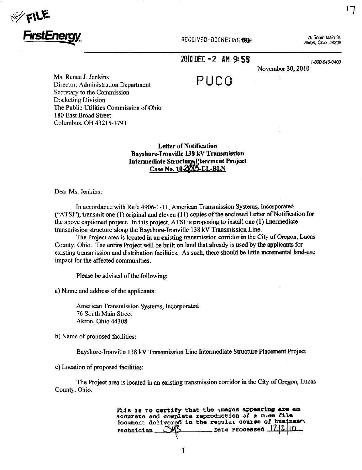

RECEIVED-DOCKETING BAM:

76 South Main St. Akron, Ohio 44308 17

2010 DEC -2 AM 9:55

PUCO

1-800-646-0400 November 30, 2010

Ms. Renee J. Jenkins Director, Administration Department Secretary to the Commission Docketing Division The Public Utilities Commission of Ohio 180 East Broad Street Columbus, OH 43215-3793

> **Letter of Notification Bayshore-Ironville 138 kV Transmission** Intermediate Structure Placement Project Case No. 10-2885-EL-BLN

Dear Ms. Jenkins:

In accordance with Rule 4906-1-11, American Transmission Systems, Incorporated ("ATSI"), transmit one (1) original and eleven (11) copies of the enclosed Letter of Notification for the above captioned project. In this project, ATSI is proposing to install one (1) intermediate transmission structure along the Bayshore-Ironville 138 kV Transmission Line.

The Project area is located in an existing transmission corridor in the City of Oregon, Lucas County, Ohio. The entire Project will be built on land that already is used by the applicants for existing transmission and distribution facilities. As such, there should be little incremental land-use impact for the affected communities.

Please be advised of the following:

a) Name and address of the applicants:

American Transmission Systems, Incorporated 76 South Main Street Akron, Ohio 44308

b) Name of proposed facilities:

Bayshore-Ironville 138 kV Transmission Line Intermediate Structure Placement Project

c) Location of proposed facilities:

The Project area is located in an existing transmission corridor in the City of Oregon, Lucas County, Ohio.

> Fhis is to certify that the tmages appearing are an accurate and complete reproduction of a case file iocument delivered in the regular course of business. **Date Processed 1Z12110 Technician**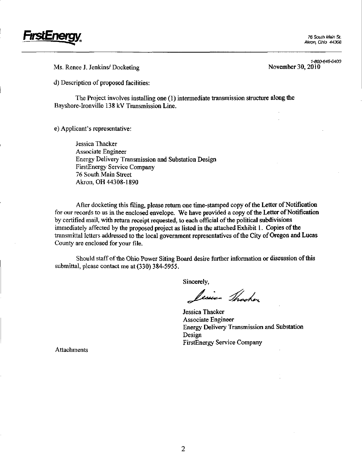

Ms. Renee J. Jenkins/ Docketing

1-800-646-0400<br>November 30, 2010

d) Description of proposed facilities:

The Project involves installing one (1) intermediate transmission stmcture along the Bayshore-lronville 138 kV Transmission Line.

e) Applicant's representative:

Jessica Thacker Associate Engineer Energy Delivery Transmission and Substation Design FirstEnergy Service Company 76 South Main Street Akron, OH 44308-1890

After docketing this filing, please retum one time-stamped copy ofthe Letter of Notification for our records to us in the enclosed envelope. We have provided a copy of the Letter of Notification by certified mail, with return receipt requested, to each official of the political subdivisions immediately affected by the proposed project as listed in the attached Exhibit 1. Copies of the transmittal letters addressed to the local government representatives ofthe City of Oregon and Lucas County are enclosed for your file.

Should staff of the Ohio Power Siting Board desire further information or discussion of this submittal, please contact me at (330) 384-5955.

Sincerely,

Lesien Thacker

Jessica Thacker Associate Engineer Energy Delivery Transmission and Substation Design FirstEnergy Service Company

Attachments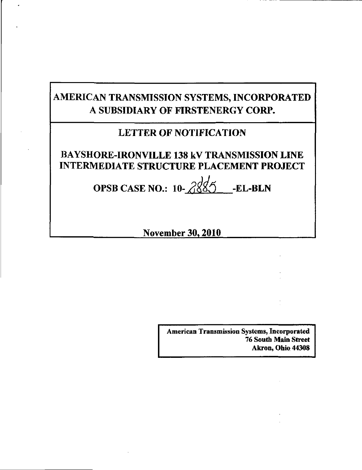# AMERICAN TRANSMISSION SYSTEMS, INCORPORATED A SUBSIDIARY OF FIRSTENERGY CORP.

## LETTER OF NOTIFICATION

## BAYSHORE-IRONVILLE 138 kV TRANSMISSION LINE INTERMEDIATE STRUCTURE PLACEMENT PROJECT

OPSB CASE NO.:  $10-\frac{2855}{60}$ -EL-BLN

November 30.2010

American Transmission Systems, Incorporated 76 South Main Street Akron, Ohio 44308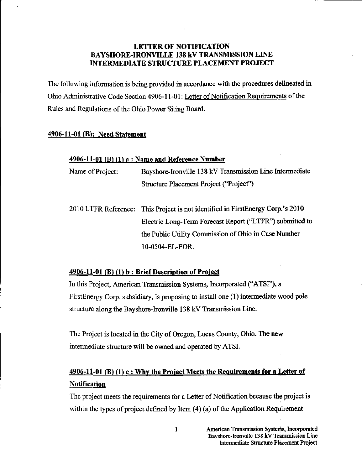### LETTER OF NOTIFICATION BAYSHORE-IRONVILLE 138 kV TRANSMISSION LINE INTERMEDIATE STRUCTURE PLACEMENT PROJECT

The following information is being provided in accordance with the procedures delineated in Ohio Administrative Code Section 4906-11-01: Letter of Notification Requirements ofthe Rules and Regulations of the Ohio Power Siting Board.

### 4906-11-01 (B); Need Statement

### 4906-11-01 (B) (1) a: Name and Reference Number

| Name of Project: | Bayshore-Ironville 138 kV Transmission Line Intermediate |
|------------------|----------------------------------------------------------|
|                  | Structure Placement Project ("Project")                  |

2010 LTFR Reference: This Project is not identified in FirstEnergy Corp.'s 2010 Electric Long-Term Forecast Report ("LTFR") submitted to the Public Utility Commission of Ohio in Case Number 10-0504-EL-FOR.

### 4906-11-01 (B) (1) b : Brief Description of Project

In this Project, American Transmission Systems, Incorporated ("ATSI"), a FirstEnergy Corp. subsidiary, is proposing to install one (1) intermediate wood pole structure along the Bayshore-lronville 138 kV Transmission Line.

The Project is located in the City of Oregon, Lucas County, Ohio. The new intermediate structure will be owned and operated by ATSI.

## $4906-11-01$  (B) (1) c : Why the Project Meets the Requirements for a Letter of **Notification**

The project meets the requirements for a Letter of Notification because the project is within the types of project defined by Item  $(4)$  (a) of the Application Requirement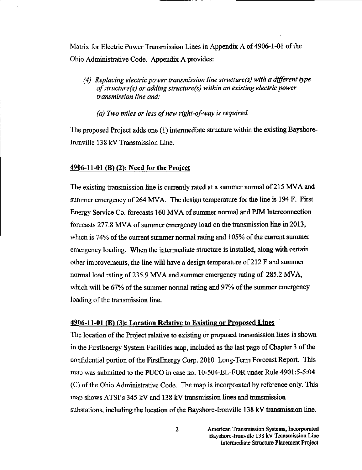Matrix for Electric Power Transmission Lines in Appendix A of 4906-1-01 ofthe Ohio Administrative Code. Appendix A provides:

- (4) Replacing electric power transmission line structure(s) with a different type of structure (s) or adding structure(s) within an existing electric power transmission line and:
	- (a) Two miles or less of new right-of-way is required.

The proposed Project adds one (1) intermediate structure within the existing Bayshorelronville 138 kV Transmission Line.

### $4906-11-01$  (B) (2): Need for the Project

The existing transmission line is currentiy rated at a summer normal of 215 MVA and summer emergency of 264 MVA. The design temperature for the line is 194 F. First Energy Service Co. forecasts 160 MVA of summer normal and PJM Interconnection forecasts 277.8 MVA of summer emergency load on the transmission line in 2013, which is 74% of the current summer normal rating and 105% of the current summer emergency loading. When the intermediate structure is installed, along with certain other improvements, the line will have a design temperature of 212 F and summer normal load rating of 235.9 MVA and summer emergency rating of 285.2 MVA, which will be 67% of the summer normal rating and 97% of the summer emergency loading of the transmission line.

#### 4906-11-01 (B) (3>: Location Relative to Existing or Proposed Lines

The location of the Project relative to existing or proposed transmission lines is shown in the FirstEnergy System Facilities map, mcluded as the last page of Chapter 3 ofthe confidential portion of the FirstEnergy Corp. 2010 Long-Term Forecast Report. This map was submitted to the PUCO m case no. 10-504-EL-FOR under Rule 4901:5-5:04  $(C)$  of the Ohio Administrative Code. The map is incorporated by reference only. This map shows  $ATSI's 345 kV$  and 138 kV transmission lines and transmission substations, including the location of the Bayshore-Ironville 138 kV transmission line.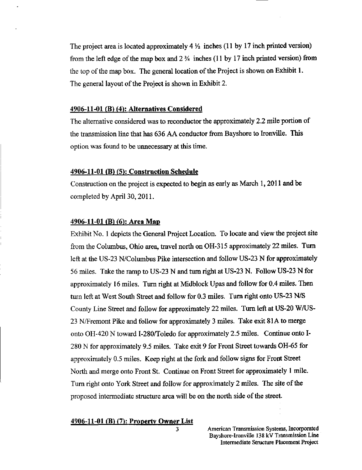The project area is located approximately 4  $\frac{1}{2}$  inches (11 by 17 inch printed version) from the left edge of the map box and  $2\frac{3}{4}$  inches (11 by 17 inch printed version) from the top of the map box. The general location of the Project is shown on Exhibit 1. The general layout of the Project is shown in Exhibit 2.

#### 4906-11-01 (B) (4): Alternatives Considered

The altemative considered was to reconductor the approximately 2.2 mile portion of the transmission line that has 636 AA conductor from Bayshore to Ironville. This option was found to be unnecessary at this time.

#### 4906-11-01 (B) (5>: Construction Schedule

Construction on the project is expected to begin as early as March 1,2011 and be completed by April 30, 2011.

### 4906-11-01 (B) (6): Area Map

Exhibit No. 1 depicts the General Project Location. To locate and view the project site from the Columbus, Ohio area, travel north on OH-315 approximately 22 miles. Turn left at the US-23 N/Columbus Pike intersection and follow US-23 N for approximately 56 miles. Take the ramp to US-23 N and turn right at US-23 N. Follow US-23 N for approximately 16 miles. Tum right at Midblock Upas and follow for 0.4 miles. Then turn left at West South Street and follow for 0.3 miles. Tum right onto US-23 N/S County Line Street and follow for approximately 22 miles. Tum left at US-20 W/US-23 N/Fremont Pike and follow for approximately 3 miles. Take exit 81A to merge onto OH-420 N toward I-280/Toledo for approximately 2.5 miles. Continue onto I-280 N for approximately 9.5 miles. Take exit 9 for Front Street towards OH-65 for approximately 0.5 miles. Keep right at the fork and follow signs for Front Street North and merge onto Front St. Continue on Front Street for approximately 1 mile. Turn right onto York Street and follow for approximately 2 miles. The site of the proposed intermediate structure area will be on the north side of the street.

#### 4906-11-01 (B) (7): Property Owner List

3 American Transmission Systems, Incorporated Bayshore-IronviUe 138 kV Transmission Line Intermediate Structure Placement Project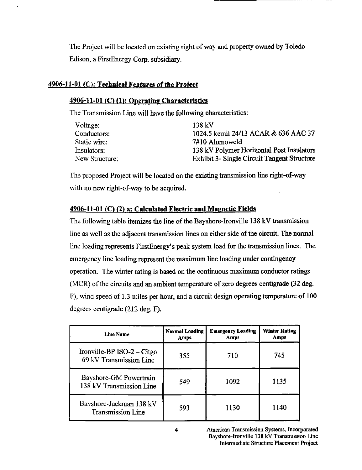The Project will be located on existing right of way and property owned by Toledo Edison, a FirstEnergy Corp. subsidiary.

### $4906-11-01$  (C): Technical Features of the Project

### 4906-11-01 (C) (1): Operating Characteristics

The Transmission Line will have the following characteristics:

| Voltage:       | 138 kV                                      |
|----------------|---------------------------------------------|
| Conductors:    | 1024.5 kcmil 24/13 ACAR & 636 AAC 37        |
| Static wire:   | 7#10 Alumoweld                              |
| Insulators:    | 138 kV Polymer Horizontal Post Insulators   |
| New Structure: | Exhibit 3- Single Circuit Tangent Structure |

The proposed Project will be located on the existing transmission line right-of-way with no new right-of-way to be acquired.

### 4906-11-01 (C) (2) a: Calculated Electric and Magnetic Fields

The following table itemizes the line of the Bayshore-Ironville  $138 \text{ kV}$  transmission line as well as the adjacent transmission lines on either side of the circuit. The normal fine loading represents FirstEnergy's peak system load for the transmission lines. The emergency line loading represent the maximum line loading under contingency operation. The winter rating is based on the continuous maximum conductor ratings (MCR) of the circuits and an ambient temperature of zero degrees centigrade (32 deg. F), wind speed of 1.3 miles per hour, and a circuit design operating temperature of 100 degrees centigrade (212 deg. F).

| <b>Line Name</b>                                        | <b>Normal Loading</b><br>Amps | <b>Emergency Loading</b><br>Amps | <b>Winter Rating</b><br>Amps |
|---------------------------------------------------------|-------------------------------|----------------------------------|------------------------------|
| Ironville-BP $ISO-2$ – Citgo<br>69 kV Transmission Line | 355                           | 710                              | 745                          |
| Bayshore-GM Powertrain<br>138 kV Transmission Line      | 549                           | 1092                             | 1135                         |
| Bayshore-Jackman 138 kV<br><b>Transmission Line</b>     | 593                           | 1130                             | 1140                         |

American Transmission Systems, Incorporated Bayshore-lronville 138 kV Transmission Lme Intermediate Stmcture Placement Project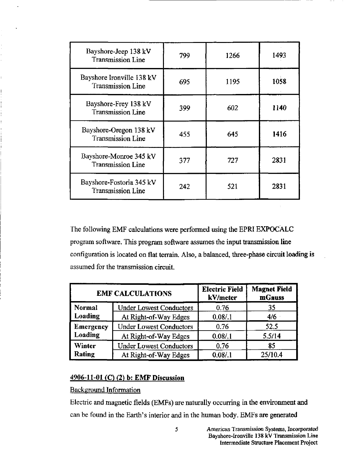| Bayshore-Jeep 138 kV<br><b>Transmission Line</b>      | 799 | 1266 | 1493 |
|-------------------------------------------------------|-----|------|------|
| Bayshore Ironville 138 kV<br><b>Transmission Line</b> | 695 | 1195 | 1058 |
| Bayshore-Frey 138 kV<br><b>Transmission Line</b>      | 399 | 602  | 1140 |
| Bayshore-Oregon 138 kV<br><b>Transmission Line</b>    | 455 | 645  | 1416 |
| Bayshore-Monroe 345 kV<br><b>Transmission Line</b>    | 377 | 727  | 2831 |
| Bayshore-Fostoria 345 kV<br><b>Transmission Line</b>  | 242 | 521  | 2831 |

The following EMF calculations were performed using the EPRI EXPOCALC program software. This program software assumes the input transmission line configuration is located on flat terrain. Also, a balanced, three-phase circuit loading is assumed for the transmission circuit.

| <b>EMF CALCULATIONS</b>     |                                | <b>Electric Field</b><br>kV/meter | <b>Magnet Field</b><br>mGauss |
|-----------------------------|--------------------------------|-----------------------------------|-------------------------------|
| Normal                      | <b>Under Lowest Conductors</b> | 0.76                              | 35                            |
| Loading                     | At Right-of-Way Edges          | 0.08/1                            | 4/6                           |
| <b>Emergency</b><br>Loading | <b>Under Lowest Conductors</b> | 0.76                              | 52.5                          |
|                             | At Right-of-Way Edges          | 0.08/1                            | 5.5/14                        |
| <b>Winter</b><br>Rating     | <b>Under Lowest Conductors</b> | 0.76                              | 85                            |
|                             | At Right-of-Way Edges          | 0.08/1                            | 25/10.4                       |

### 4906-11-01 (C) (2) b: EMF Discussion

Background Information

Electric and magnetic fields (EMFs) are naturally occurring in the environment and can be found in the Earth's interior and in the human body. EMFs are generated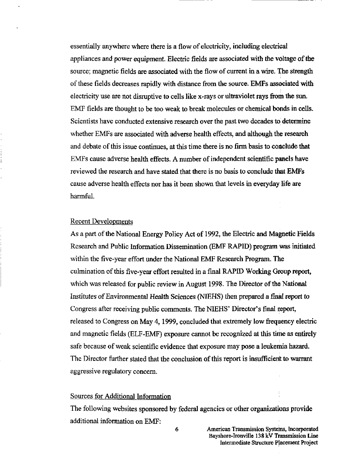essentially anywhere where there is a flow of electricity, including electrieal appliances and power equipment. Electric fields are associated with the voltage of the source; magnetic fields are associated with the flow of current in a wire. The strength of these fields decreases rapidly with distance from the source. EMFs associated with electricity use are not disruptive to cells like x-rays or ultraviolet rays from the sun. EMF fields are thought to be too weak to break molecules or chemical bonds in cells. Scientists have conducted extensive research over the past two decades to determine whether EMFs are associated with adverse health effects, and although the research and debate of this issue continues, at this time there is no firm basis to conclude that EMFs cause adverse health effects. A number of independent scientific panels have reviewed the research and have stated that there is no basis to conclude that EMFs cause adverse health effects nor has it been shown that levels in everyday life are harmful.

#### Recent Developments

As a part of the National Energy Policy Act of 1992, the Electric and Magnetic Fields Research and Public Information Dissemination (EMF RAPID) program was initiated within the five-year effort under the National EMF Research Program. The culmination of this five-year effort resulted in a final RAPID Working Group report, which was released for public review in August 1998. The Director of the National Institutes of Environmental Health Sciences (NIEHS) then prepared a final report to Congress after receiving public comments. The NIEHS' Director's final report, released to Congress on May 4, 1999, concluded that extremely low frequency electric and magnetic fields (ELF-EMF) exposure cannot be recognized at this time as entirely safe because of weak scientific evidence that exposure may pose a leukemia hazard. The Director further stated that the conclusion of this report is insufficient to warrant aggressive regulatory concern.

### Sources for Additional Information

The following websites sponsored by federal agencies or other organizations provide additional information on EMF: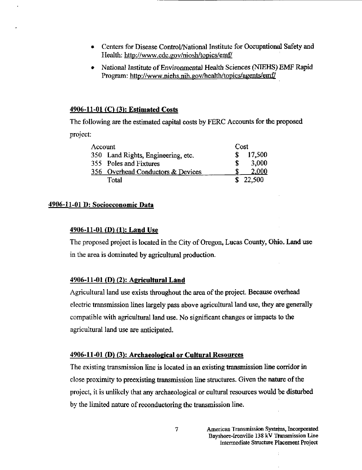- Centers for Disease Control/National Institute for Occupational Safety and Health: <http://www.cdc.gov/niosh/topics/emf/>
- National Institute of Environmental Health Sciences (NIEHS) EMF Rapid Program: <http://www.niehs.nih.gov/health/topics/agents/emfy>

### 4906-11-01 (C) (3): Estimated Costs

The following are the estimated capital costs by FERC Accounts for the proposed project:

| Account |                                    | Cost |          |
|---------|------------------------------------|------|----------|
|         | 350 Land Rights, Engineering, etc. |      | 17,500   |
|         | 355 Poles and Fixtures             |      | 3,000    |
|         | 356 Overhead Conductors & Devices  |      | 2.000    |
|         | Total                              |      | \$22,500 |

### 4906-11-01 D: Socioeconomic Data

### $4906-11-01$  (D) (1): Land Use

The proposed project is located in the City of Oregon, Lucas County, Ohio. Land use in the area is dominated by agricultural production.

### 4906-11-01 (D) (2): Agricultural Land

Agricultural land use exists throughout the area of the project. Because overhead electric transmission lines largely pass above agricultural land use, they are generally compatible with agricultural land use. No significant changes or impacts to the agricultural land use are anticipated.

### 4906-11-01 (D) (3): Archaeological or Cultural Resources

The existing transmission line is located in an existing transmission line corridor in close proximity to preexisting transmission line structures. Given the nature of the project, it is unlikely that any archaeological or cultural resources would be disturbed by the limited nature of reconductoring the transmission line.

> American Transmission Systeins, Incorporated Bayshore-lronville 138 kV Transmission Line intermediate Stmcture Placement Project

7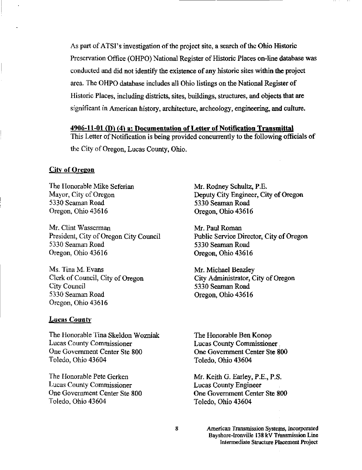As part of ATSI's investigation of the project site, a search of the Ohio Historic Preservation Office (OHPO) National Register of Historic Places on-line database was conducted and did not identify the existence of any historic sites within the project area. The OHPO database includes all Ohio listings on the National Register of Historic Places, including districts, sites, buildings, stmctures, and objects that are significant in American history, architecture, archeology, engineering, and culture.

### 4906-11-01 (D^ (4^ a: Documentation of Letter of Notification Transmittal

This Letter of Notification is being provided concurrently to the following officials of the City of Oregon, Lucas County, Ohio.

### **City of Oregon**

The Honorable Mike Seferian Mayor, City of Oregon 5330 Seaman Road Oregon, Ohio 43616

Mr. Clint Wasserman President, City of Oregon City Council 5330 Seaman Road Oregon, Ohio 43616

Ms. Tina M. Evans Clerk of Council, City of Oregon City Council 5330 Seaman Road Oregon, Ohio 43616

#### **Lucas County**

The Honorable Tina Skeldon Wozniak Lucas County Commissioner One Government Center Ste 800 Toledo, Ohio 43604

The Honorable Pete Gerken Lucas County Commissioner One Government Center Ste 800 Toledo, Ohio 43604

Mr. Rodney Schultz, P.E. Deputy City Engineer, City of Oregon 5330 Seaman Road Oregon, Ohio 43616

Mr. Paul Roman Public Service Director, City of Oregon 5330 Seaman Road Oregon, Ohio 43616

Mr. Michael Beazley City Administrator, City of Oregon 5330 Seaman Road Oregon, Ohio 43616

The Honorable Ben Konop Lucas County Commissioner. One Government Center Ste 800 Toledo, Ohio 43604

Mr. Keith G. Eariey, P.E., P.S. Lucas County Engineer One Government Center Ste 800 Toledo, Ohio 43604

8

American Transmission Systems, Incorporated Bayshore-Ironville 138 kV Transmission Line Intermediate Structure Placement Project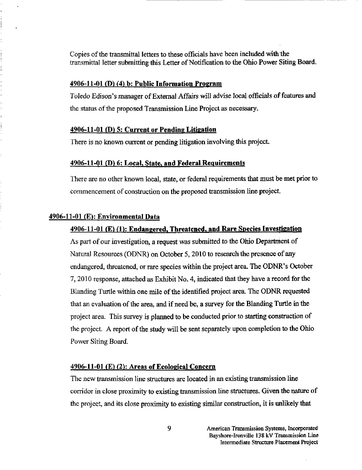Copies of the transmittal letters to these officials have been included with the transmittal letter submitting this Letter of Notification to the Ohio Power Siting Board.

#### $4906-11-01$  (D) (4) b: Public Information Program

Toledo Edison's manager of External Affairs will advise local officials of features and the status of the proposed Transmission Line Project as necessary.

### $4906-11-01$  (D) 5: Current or Pending Litigation

There is no known current or pending litigation involving this project.

#### 4906-11-01 (D) 6: Local, State, and Federal Requirements

There are no other known local, state, or federal requirements that must be met prior to commencement of construction on the proposed transmission line project.

#### 4906-11-01 (E>: Environmental Data

#### 4906-11-01 (E) (1): Endangered. Threatened, and Rare Species Investigation

As part of our investigation, a request was submitted to the Ohio Department of Natural Resources (ODNR) on October 5,2010 to research the presence of any endangered, threatened, or rare species within the project area. The ODNR's October 7,2010 response, attached as Exhibit No. 4, indicated that they have a record for the Blanding Turtle within one mile of the identified project area. The ODNR requested that an evaluation of the area, and if need be, a survey for the Blanding Turtle in the project area. This survey is planned to be conducted prior to starting constmction of the project. A report of the study will be sent separately upon completion to the Ohio Power Siting Board.

#### $4906-11-01$  (E) (2): Areas of Ecological Concern

The new transmission line structures are located in an existing transmission line corridor in close proximity to existing transmission line stmctures. Given the nature of the project, and its close proximity to existing similar constmction, it is unlikely that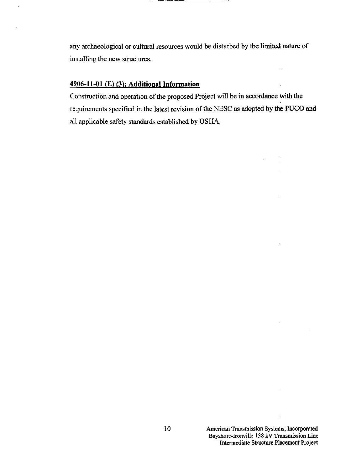any archaeological or cultural resources would be disturbed by the limited nature of installing the new stmctures.

### $4906-11-01$  (E) (3): Additional Information

Construction and operation of the proposed Project will be in accordance with the requirements specified in the latest revision of the NESC as adopted by the PUCO and all applicable safety standards established by OSHA.

 $\sim$ 

 $\mathcal{L}^{\mathcal{L}}$ 

 $\sim$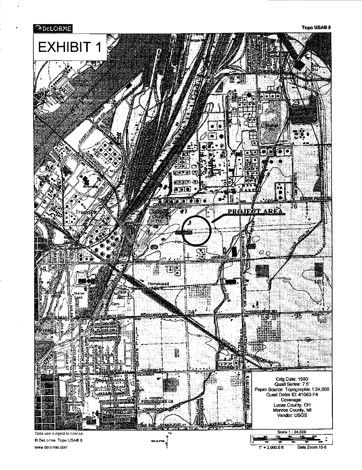

www.delorme.com

 $1" = 2,000.0 \text{ ft}$ Data Zoom 13-0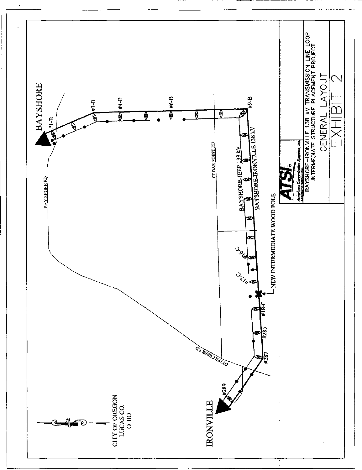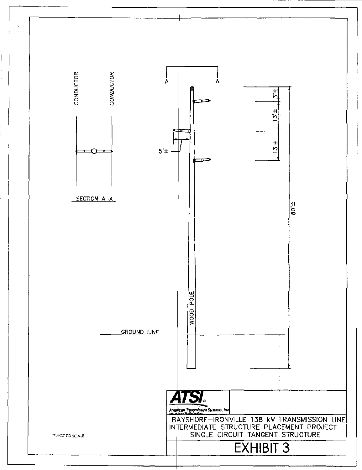